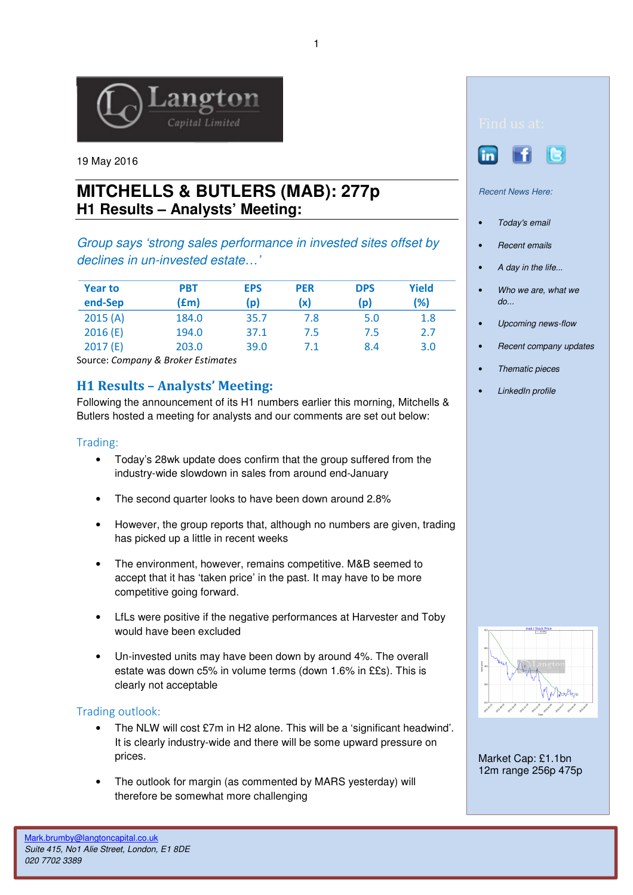

19 May 2016

# **MITCHELLS & BUTLERS (MAB): 277p H1 Results – Analysts' Meeting:**

Group says 'strong sales performance in invested sites offset by declines in un-invested estate…'

| <b>Year to</b><br>end-Sep | PBT<br>(£m) | <b>EPS</b><br>(p) | <b>PER</b><br>(x) | <b>DPS</b><br>(p) | Yield<br>(%) |
|---------------------------|-------------|-------------------|-------------------|-------------------|--------------|
| 2015(A)                   | 184.0       | 35.7              | 7.8               | 5.0               | 1.8          |
| 2016(E)                   | 194.0       | 37.1              | 7.5               | 7.5               | 2.7          |
| 2017(E)                   | 203.0       | 39.0              | 7.1               | 8.4               | 3.0          |

Source: Company & Broker Estimates

## H1 Results – Analysts' Meeting:

Following the announcement of its H1 numbers earlier this morning, Mitchells & Butlers hosted a meeting for analysts and our comments are set out below:

#### Trading:

- Today's 28wk update does confirm that the group suffered from the industry-wide slowdown in sales from around end-January
- The second quarter looks to have been down around 2.8%
- However, the group reports that, although no numbers are given, trading has picked up a little in recent weeks
- The environment, however, remains competitive. M&B seemed to accept that it has 'taken price' in the past. It may have to be more competitive going forward.
- LfLs were positive if the negative performances at Harvester and Toby would have been excluded
- Un-invested units may have been down by around 4%. The overall estate was down c5% in volume terms (down 1.6% in ££s). This is clearly not acceptable

#### Trading outlook:

- The NLW will cost £7m in H2 alone. This will be a 'significant headwind'. It is clearly industry-wide and there will be some upward pressure on prices.
- The outlook for margin (as commented by MARS yesterday) will therefore be somewhat more challenging





#### Recent News Here:

- Today's email
- Recent emails
- A day in the life...
- Who we are, what we do...
- Upcoming news-flow
- Recent company updates
- Thematic pieces
- LinkedIn profile



Market Cap: £1.1bn 12m range 256p 475p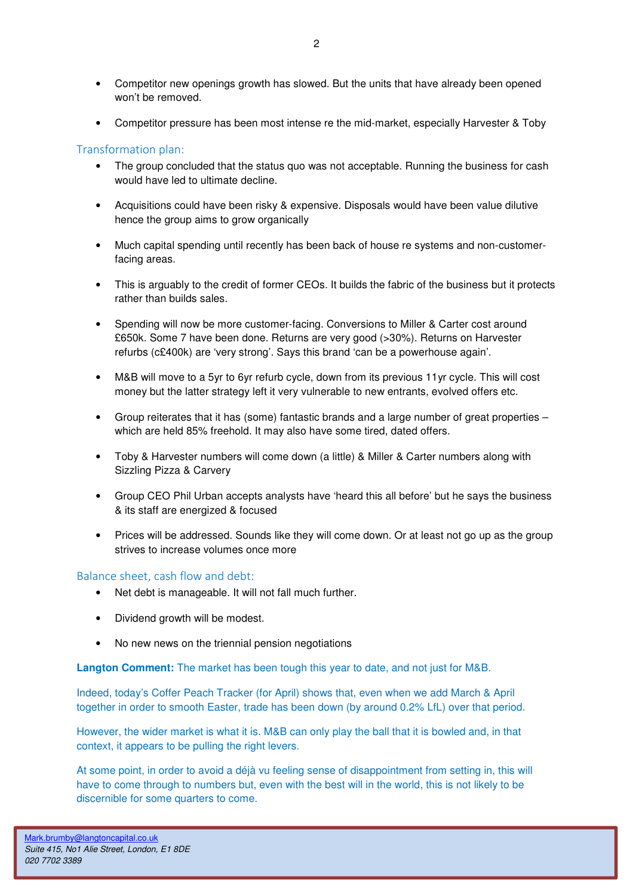- Competitor new openings growth has slowed. But the units that have already been opened won't be removed.
- Competitor pressure has been most intense re the mid-market, especially Harvester & Toby

### Transformation plan:

- The group concluded that the status quo was not acceptable. Running the business for cash would have led to ultimate decline.
- Acquisitions could have been risky & expensive. Disposals would have been value dilutive hence the group aims to grow organically
- Much capital spending until recently has been back of house re systems and non-customerfacing areas.
- This is arguably to the credit of former CEOs. It builds the fabric of the business but it protects rather than builds sales.
- Spending will now be more customer-facing. Conversions to Miller & Carter cost around £650k. Some 7 have been done. Returns are very good (>30%). Returns on Harvester refurbs (c£400k) are 'very strong'. Says this brand 'can be a powerhouse again'.
- M&B will move to a 5yr to 6yr refurb cycle, down from its previous 11yr cycle. This will cost money but the latter strategy left it very vulnerable to new entrants, evolved offers etc.
- Group reiterates that it has (some) fantastic brands and a large number of great properties which are held 85% freehold. It may also have some tired, dated offers.
- Toby & Harvester numbers will come down (a little) & Miller & Carter numbers along with Sizzling Pizza & Carvery
- Group CEO Phil Urban accepts analysts have 'heard this all before' but he says the business & its staff are energized & focused
- Prices will be addressed. Sounds like they will come down. Or at least not go up as the group strives to increase volumes once more

#### Balance sheet, cash flow and debt:

- Net debt is manageable. It will not fall much further.
- Dividend growth will be modest.
- No new news on the triennial pension negotiations

**Langton Comment:** The market has been tough this year to date, and not just for M&B.

Indeed, today's Coffer Peach Tracker (for April) shows that, even when we add March & April together in order to smooth Easter, trade has been down (by around 0.2% LfL) over that period.

However, the wider market is what it is. M&B can only play the ball that it is bowled and, in that context, it appears to be pulling the right levers.

At some point, in order to avoid a déjà vu feeling sense of disappointment from setting in, this will have to come through to numbers but, even with the best will in the world, this is not likely to be discernible for some quarters to come.